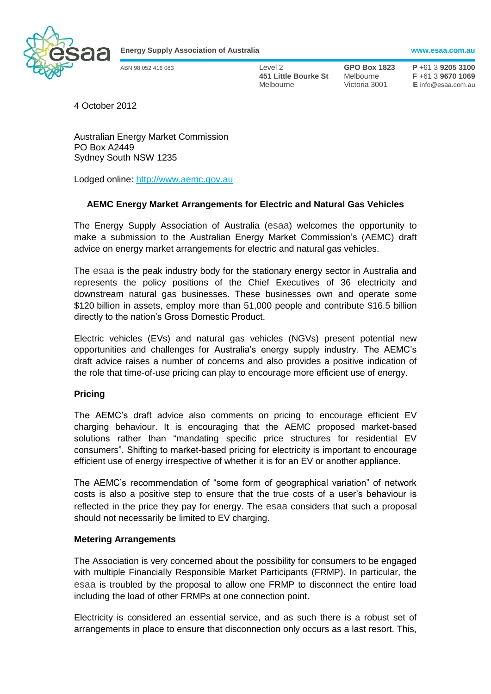

**Energy Supply Association of Australia www.esaa.com.au**

ABN 98 052 416 083 Level 2 **GPO Box 1823 P** +61 3 **9205 3100 451 Little Bourke St** Melbourne **F** +61 3 **9670 1069** Melbourne Victoria 3001 **E** info@esaa.com.au

4 October 2012

Australian Energy Market Commission PO Box A2449 Sydney South NSW 1235

Lodged online: [http://www.aemc.gov.au](http://www.aemc.gov.au/)

# **AEMC Energy Market Arrangements for Electric and Natural Gas Vehicles**

The Energy Supply Association of Australia (esaa) welcomes the opportunity to make a submission to the Australian Energy Market Commission's (AEMC) draft advice on energy market arrangements for electric and natural gas vehicles.

The esaa is the peak industry body for the stationary energy sector in Australia and represents the policy positions of the Chief Executives of 36 electricity and downstream natural gas businesses. These businesses own and operate some \$120 billion in assets, employ more than 51,000 people and contribute \$16.5 billion directly to the nation's Gross Domestic Product.

Electric vehicles (EVs) and natural gas vehicles (NGVs) present potential new opportunities and challenges for Australia's energy supply industry. The AEMC's draft advice raises a number of concerns and also provides a positive indication of the role that time-of-use pricing can play to encourage more efficient use of energy.

#### **Pricing**

The AEMC's draft advice also comments on pricing to encourage efficient EV charging behaviour. It is encouraging that the AEMC proposed market-based solutions rather than "mandating specific price structures for residential EV consumers". Shifting to market-based pricing for electricity is important to encourage efficient use of energy irrespective of whether it is for an EV or another appliance.

The AEMC's recommendation of "some form of geographical variation" of network costs is also a positive step to ensure that the true costs of a user's behaviour is reflected in the price they pay for energy. The esaa considers that such a proposal should not necessarily be limited to EV charging.

#### **Metering Arrangements**

The Association is very concerned about the possibility for consumers to be engaged with multiple Financially Responsible Market Participants (FRMP). In particular, the esaa is troubled by the proposal to allow one FRMP to disconnect the entire load including the load of other FRMPs at one connection point.

Electricity is considered an essential service, and as such there is a robust set of arrangements in place to ensure that disconnection only occurs as a last resort. This,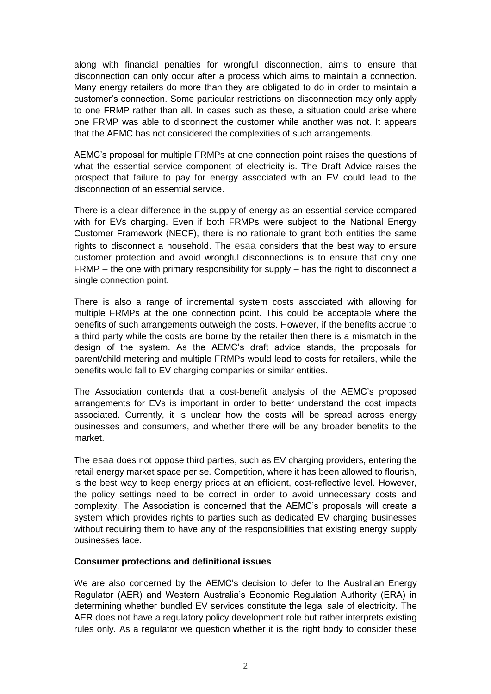along with financial penalties for wrongful disconnection, aims to ensure that disconnection can only occur after a process which aims to maintain a connection. Many energy retailers do more than they are obligated to do in order to maintain a customer's connection. Some particular restrictions on disconnection may only apply to one FRMP rather than all. In cases such as these, a situation could arise where one FRMP was able to disconnect the customer while another was not. It appears that the AEMC has not considered the complexities of such arrangements.

AEMC's proposal for multiple FRMPs at one connection point raises the questions of what the essential service component of electricity is. The Draft Advice raises the prospect that failure to pay for energy associated with an EV could lead to the disconnection of an essential service.

There is a clear difference in the supply of energy as an essential service compared with for EVs charging. Even if both FRMPs were subject to the National Energy Customer Framework (NECF), there is no rationale to grant both entities the same rights to disconnect a household. The esaa considers that the best way to ensure customer protection and avoid wrongful disconnections is to ensure that only one FRMP – the one with primary responsibility for supply – has the right to disconnect a single connection point.

There is also a range of incremental system costs associated with allowing for multiple FRMPs at the one connection point. This could be acceptable where the benefits of such arrangements outweigh the costs. However, if the benefits accrue to a third party while the costs are borne by the retailer then there is a mismatch in the design of the system. As the AEMC's draft advice stands, the proposals for parent/child metering and multiple FRMPs would lead to costs for retailers, while the benefits would fall to EV charging companies or similar entities.

The Association contends that a cost-benefit analysis of the AEMC's proposed arrangements for EVs is important in order to better understand the cost impacts associated. Currently, it is unclear how the costs will be spread across energy businesses and consumers, and whether there will be any broader benefits to the market.

The esaa does not oppose third parties, such as EV charging providers, entering the retail energy market space per se. Competition, where it has been allowed to flourish, is the best way to keep energy prices at an efficient, cost-reflective level. However, the policy settings need to be correct in order to avoid unnecessary costs and complexity. The Association is concerned that the AEMC's proposals will create a system which provides rights to parties such as dedicated EV charging businesses without requiring them to have any of the responsibilities that existing energy supply businesses face.

## **Consumer protections and definitional issues**

We are also concerned by the AEMC's decision to defer to the Australian Energy Regulator (AER) and Western Australia's Economic Regulation Authority (ERA) in determining whether bundled EV services constitute the legal sale of electricity. The AER does not have a regulatory policy development role but rather interprets existing rules only. As a regulator we question whether it is the right body to consider these